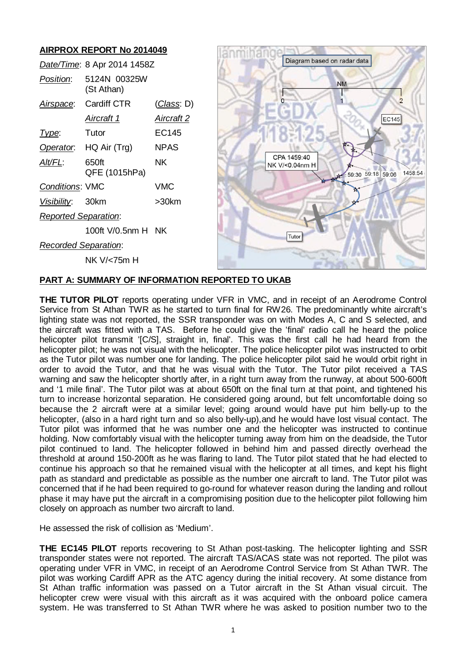

## **PART A: SUMMARY OF INFORMATION REPORTED TO UKAB**

**THE TUTOR PILOT** reports operating under VFR in VMC, and in receipt of an Aerodrome Control Service from St Athan TWR as he started to turn final for RW26. The predominantly white aircraft's lighting state was not reported, the SSR transponder was on with Modes A, C and S selected, and the aircraft was fitted with a TAS. Before he could give the 'final' radio call he heard the police helicopter pilot transmit '[C/S], straight in, final'. This was the first call he had heard from the helicopter pilot; he was not visual with the helicopter. The police helicopter pilot was instructed to orbit as the Tutor pilot was number one for landing. The police helicopter pilot said he would orbit right in order to avoid the Tutor, and that he was visual with the Tutor. The Tutor pilot received a TAS warning and saw the helicopter shortly after, in a right turn away from the runway, at about 500-600ft and '1 mile final'. The Tutor pilot was at about 650ft on the final turn at that point, and tightened his turn to increase horizontal separation. He considered going around, but felt uncomfortable doing so because the 2 aircraft were at a similar level; going around would have put him belly-up to the helicopter, (also in a hard right turn and so also belly-up), and he would have lost visual contact. The Tutor pilot was informed that he was number one and the helicopter was instructed to continue holding. Now comfortably visual with the helicopter turning away from him on the deadside, the Tutor pilot continued to land. The helicopter followed in behind him and passed directly overhead the threshold at around 150-200ft as he was flaring to land. The Tutor pilot stated that he had elected to continue his approach so that he remained visual with the helicopter at all times, and kept his flight path as standard and predictable as possible as the number one aircraft to land. The Tutor pilot was concerned that if he had been required to go-round for whatever reason during the landing and rollout phase it may have put the aircraft in a compromising position due to the helicopter pilot following him closely on approach as number two aircraft to land.

He assessed the risk of collision as 'Medium'.

**THE EC145 PILOT** reports recovering to St Athan post-tasking. The helicopter lighting and SSR transponder states were not reported. The aircraft TAS/ACAS state was not reported. The pilot was operating under VFR in VMC, in receipt of an Aerodrome Control Service from St Athan TWR. The pilot was working Cardiff APR as the ATC agency during the initial recovery. At some distance from St Athan traffic information was passed on a Tutor aircraft in the St Athan visual circuit. The helicopter crew were visual with this aircraft as it was acquired with the onboard police camera system. He was transferred to St Athan TWR where he was asked to position number two to the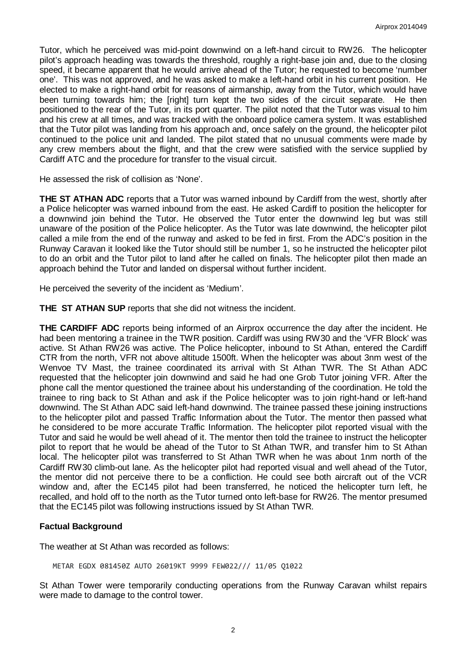Tutor, which he perceived was mid-point downwind on a left-hand circuit to RW26. The helicopter pilot's approach heading was towards the threshold, roughly a right-base join and, due to the closing speed, it became apparent that he would arrive ahead of the Tutor; he requested to become 'number one'. This was not approved, and he was asked to make a left-hand orbit in his current position. He elected to make a right-hand orbit for reasons of airmanship, away from the Tutor, which would have been turning towards him; the [right] turn kept the two sides of the circuit separate. He then positioned to the rear of the Tutor, in its port quarter. The pilot noted that the Tutor was visual to him and his crew at all times, and was tracked with the onboard police camera system. It was established that the Tutor pilot was landing from his approach and, once safely on the ground, the helicopter pilot continued to the police unit and landed. The pilot stated that no unusual comments were made by any crew members about the flight, and that the crew were satisfied with the service supplied by Cardiff ATC and the procedure for transfer to the visual circuit.

He assessed the risk of collision as 'None'.

**THE ST ATHAN ADC** reports that a Tutor was warned inbound by Cardiff from the west, shortly after a Police helicopter was warned inbound from the east. He asked Cardiff to position the helicopter for a downwind join behind the Tutor. He observed the Tutor enter the downwind leg but was still unaware of the position of the Police helicopter. As the Tutor was late downwind, the helicopter pilot called a mile from the end of the runway and asked to be fed in first. From the ADC's position in the Runway Caravan it looked like the Tutor should still be number 1, so he instructed the helicopter pilot to do an orbit and the Tutor pilot to land after he called on finals. The helicopter pilot then made an approach behind the Tutor and landed on dispersal without further incident.

He perceived the severity of the incident as 'Medium'.

**THE ST ATHAN SUP** reports that she did not witness the incident.

**THE CARDIFF ADC** reports being informed of an Airprox occurrence the day after the incident. He had been mentoring a trainee in the TWR position. Cardiff was using RW30 and the 'VFR Block' was active. St Athan RW26 was active. The Police helicopter, inbound to St Athan, entered the Cardiff CTR from the north, VFR not above altitude 1500ft. When the helicopter was about 3nm west of the Wenvoe TV Mast, the trainee coordinated its arrival with St Athan TWR. The St Athan ADC requested that the helicopter join downwind and said he had one Grob Tutor joining VFR. After the phone call the mentor questioned the trainee about his understanding of the coordination. He told the trainee to ring back to St Athan and ask if the Police helicopter was to join right-hand or left-hand downwind. The St Athan ADC said left-hand downwind. The trainee passed these joining instructions to the helicopter pilot and passed Traffic Information about the Tutor. The mentor then passed what he considered to be more accurate Traffic Information. The helicopter pilot reported visual with the Tutor and said he would be well ahead of it. The mentor then told the trainee to instruct the helicopter pilot to report that he would be ahead of the Tutor to St Athan TWR, and transfer him to St Athan local. The helicopter pilot was transferred to St Athan TWR when he was about 1nm north of the Cardiff RW30 climb-out lane. As the helicopter pilot had reported visual and well ahead of the Tutor, the mentor did not perceive there to be a confliction. He could see both aircraft out of the VCR window and, after the EC145 pilot had been transferred, he noticed the helicopter turn left, he recalled, and hold off to the north as the Tutor turned onto left-base for RW26. The mentor presumed that the EC145 pilot was following instructions issued by St Athan TWR.

## **Factual Background**

The weather at St Athan was recorded as follows:

METAR EGDX 081450Z AUTO 26019KT 9999 FEW022/// 11/05 Q1022

St Athan Tower were temporarily conducting operations from the Runway Caravan whilst repairs were made to damage to the control tower.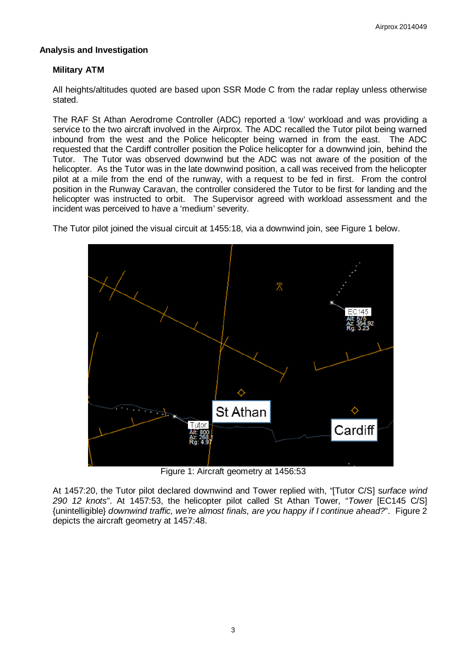# **Analysis and Investigation**

# **Military ATM**

All heights/altitudes quoted are based upon SSR Mode C from the radar replay unless otherwise stated.

The RAF St Athan Aerodrome Controller (ADC) reported a 'low' workload and was providing a service to the two aircraft involved in the Airprox. The ADC recalled the Tutor pilot being warned inbound from the west and the Police helicopter being warned in from the east. The ADC requested that the Cardiff controller position the Police helicopter for a downwind join, behind the Tutor. The Tutor was observed downwind but the ADC was not aware of the position of the helicopter. As the Tutor was in the late downwind position, a call was received from the helicopter pilot at a mile from the end of the runway, with a request to be fed in first. From the control position in the Runway Caravan, the controller considered the Tutor to be first for landing and the helicopter was instructed to orbit. The Supervisor agreed with workload assessment and the incident was perceived to have a 'medium' severity.

The Tutor pilot joined the visual circuit at 1455:18, via a downwind join, see Figure 1 below.



Figure 1: Aircraft geometry at 1456:53

At 1457:20, the Tutor pilot declared downwind and Tower replied with, "[Tutor C/S] s*urface wind 290 12 knots*". At 1457:53, the helicopter pilot called St Athan Tower, "*Tower* [EC145 C/S] {unintelligible} *downwind traffic, we're almost finals, are you happy if I continue ahead?*". Figure 2 depicts the aircraft geometry at 1457:48.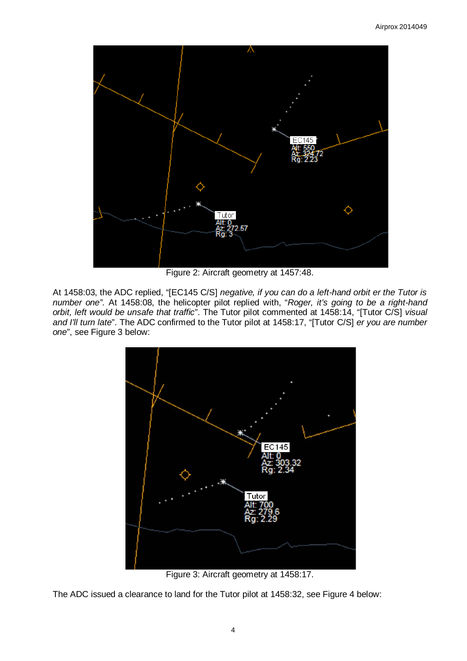

Figure 2: Aircraft geometry at 1457:48.

At 1458:03, the ADC replied, "[EC145 C/S] *negative, if you can do a left-hand orbit er the Tutor is number one".* At 1458:08, the helicopter pilot replied with, "*Roger, it's going to be a right-hand orbit, left would be unsafe that traffic*". The Tutor pilot commented at 1458:14, "[Tutor C/S] *visual and I'll turn late*". The ADC confirmed to the Tutor pilot at 1458:17, "[Tutor C/S] *er you are number one*", see Figure 3 below:



Figure 3: Aircraft geometry at 1458:17.

The ADC issued a clearance to land for the Tutor pilot at 1458:32, see Figure 4 below: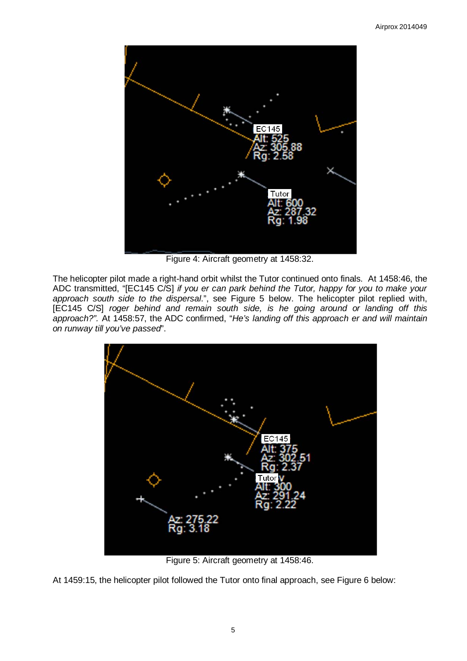

Figure 4: Aircraft geometry at 1458:32.

The helicopter pilot made a right-hand orbit whilst the Tutor continued onto finals. At 1458:46, the ADC transmitted, "[EC145 C/S] *if you er can park behind the Tutor, happy for you to make your approach south side to the dispersal*.", see Figure 5 below. The helicopter pilot replied with, [EC145 C/S] *roger behind and remain south side, is he going around or landing off this approach?".* At 1458:57, the ADC confirmed, "*He's landing off this approach er and will maintain on runway till you've passed*".



Figure 5: Aircraft geometry at 1458:46.

At 1459:15, the helicopter pilot followed the Tutor onto final approach, see Figure 6 below: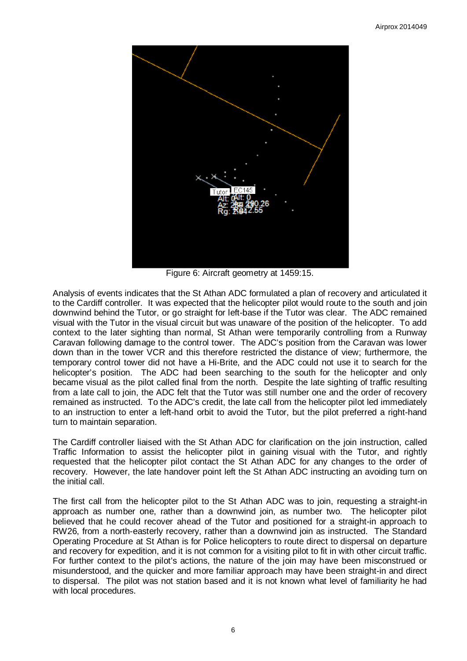

Figure 6: Aircraft geometry at 1459:15.

Analysis of events indicates that the St Athan ADC formulated a plan of recovery and articulated it to the Cardiff controller. It was expected that the helicopter pilot would route to the south and join downwind behind the Tutor, or go straight for left-base if the Tutor was clear. The ADC remained visual with the Tutor in the visual circuit but was unaware of the position of the helicopter. To add context to the later sighting than normal, St Athan were temporarily controlling from a Runway Caravan following damage to the control tower. The ADC's position from the Caravan was lower down than in the tower VCR and this therefore restricted the distance of view; furthermore, the temporary control tower did not have a Hi-Brite, and the ADC could not use it to search for the helicopter's position. The ADC had been searching to the south for the helicopter and only became visual as the pilot called final from the north. Despite the late sighting of traffic resulting from a late call to join, the ADC felt that the Tutor was still number one and the order of recovery remained as instructed. To the ADC's credit, the late call from the helicopter pilot led immediately to an instruction to enter a left-hand orbit to avoid the Tutor, but the pilot preferred a right-hand turn to maintain separation.

The Cardiff controller liaised with the St Athan ADC for clarification on the join instruction, called Traffic Information to assist the helicopter pilot in gaining visual with the Tutor, and rightly requested that the helicopter pilot contact the St Athan ADC for any changes to the order of recovery. However, the late handover point left the St Athan ADC instructing an avoiding turn on the initial call.

The first call from the helicopter pilot to the St Athan ADC was to join, requesting a straight-in approach as number one, rather than a downwind join, as number two. The helicopter pilot believed that he could recover ahead of the Tutor and positioned for a straight-in approach to RW26, from a north-easterly recovery, rather than a downwind join as instructed. The Standard Operating Procedure at St Athan is for Police helicopters to route direct to dispersal on departure and recovery for expedition, and it is not common for a visiting pilot to fit in with other circuit traffic. For further context to the pilot's actions, the nature of the join may have been misconstrued or misunderstood, and the quicker and more familiar approach may have been straight-in and direct to dispersal. The pilot was not station based and it is not known what level of familiarity he had with local procedures.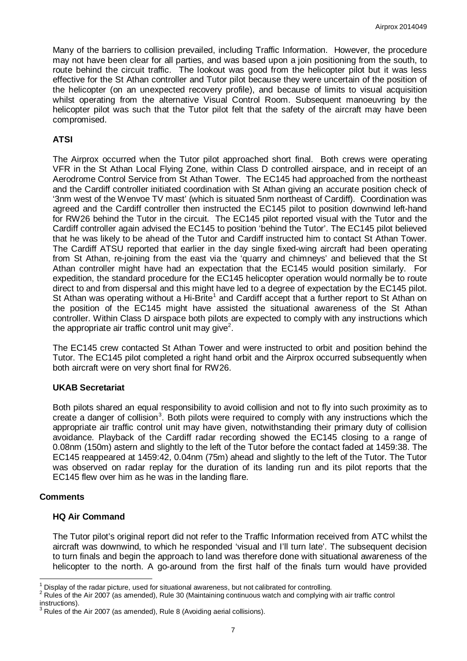Many of the barriers to collision prevailed, including Traffic Information. However, the procedure may not have been clear for all parties, and was based upon a join positioning from the south, to route behind the circuit traffic. The lookout was good from the helicopter pilot but it was less effective for the St Athan controller and Tutor pilot because they were uncertain of the position of the helicopter (on an unexpected recovery profile), and because of limits to visual acquisition whilst operating from the alternative Visual Control Room. Subsequent manoeuvring by the helicopter pilot was such that the Tutor pilot felt that the safety of the aircraft may have been compromised.

# **ATSI**

The Airprox occurred when the Tutor pilot approached short final. Both crews were operating VFR in the St Athan Local Flying Zone, within Class D controlled airspace, and in receipt of an Aerodrome Control Service from St Athan Tower. The EC145 had approached from the northeast and the Cardiff controller initiated coordination with St Athan giving an accurate position check of '3nm west of the Wenvoe TV mast' (which is situated 5nm northeast of Cardiff). Coordination was agreed and the Cardiff controller then instructed the EC145 pilot to position downwind left-hand for RW26 behind the Tutor in the circuit. The EC145 pilot reported visual with the Tutor and the Cardiff controller again advised the EC145 to position 'behind the Tutor'. The EC145 pilot believed that he was likely to be ahead of the Tutor and Cardiff instructed him to contact St Athan Tower. The Cardiff ATSU reported that earlier in the day single fixed-wing aircraft had been operating from St Athan, re-joining from the east via the 'quarry and chimneys' and believed that the St Athan controller might have had an expectation that the EC145 would position similarly. For expedition, the standard procedure for the EC145 helicopter operation would normally be to route direct to and from dispersal and this might have led to a degree of expectation by the EC145 pilot. St Athan was operating without a Hi-Brite<sup>[1](#page-6-0)</sup> and Cardiff accept that a further report to St Athan on the position of the EC145 might have assisted the situational awareness of the St Athan controller. Within Class D airspace both pilots are expected to comply with any instructions which the appropriate air traffic control unit may give $^{\scriptscriptstyle 2}$  $^{\scriptscriptstyle 2}$  $^{\scriptscriptstyle 2}$ .

The EC145 crew contacted St Athan Tower and were instructed to orbit and position behind the Tutor. The EC145 pilot completed a right hand orbit and the Airprox occurred subsequently when both aircraft were on very short final for RW26.

## **UKAB Secretariat**

Both pilots shared an equal responsibility to avoid collision and not to fly into such proximity as to create a danger of collision<sup>[3](#page-6-2)</sup>. Both pilots were required to comply with any instructions which the appropriate air traffic control unit may have given, notwithstanding their primary duty of collision avoidance. Playback of the Cardiff radar recording showed the EC145 closing to a range of 0.08nm (150m) astern and slightly to the left of the Tutor before the contact faded at 1459:38. The EC145 reappeared at 1459:42, 0.04nm (75m) ahead and slightly to the left of the Tutor. The Tutor was observed on radar replay for the duration of its landing run and its pilot reports that the EC145 flew over him as he was in the landing flare.

#### **Comments**

#### **HQ Air Command**

The Tutor pilot's original report did not refer to the Traffic Information received from ATC whilst the aircraft was downwind, to which he responded 'visual and I'll turn late'. The subsequent decision to turn finals and begin the approach to land was therefore done with situational awareness of the helicopter to the north. A go-around from the first half of the finals turn would have provided

<span id="page-6-1"></span><span id="page-6-0"></span><sup>&</sup>lt;sup>1</sup> Display of the radar picture, used for situational awareness, but not calibrated for controlling.<br><sup>2</sup> Rules of the Air 2007 (as amended), Rule 30 (Maintaining continuous watch and complying with air traffic control in

<span id="page-6-2"></span> $3$  Rules of the Air 2007 (as amended), Rule 8 (Avoiding aerial collisions).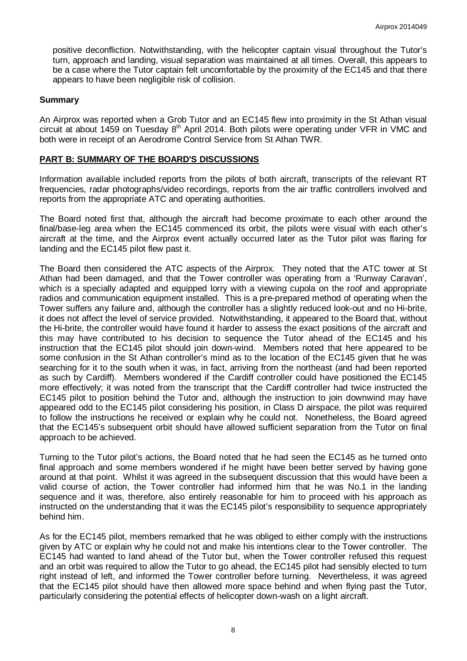positive deconfliction. Notwithstanding, with the helicopter captain visual throughout the Tutor's turn, approach and landing, visual separation was maintained at all times. Overall, this appears to be a case where the Tutor captain felt uncomfortable by the proximity of the EC145 and that there appears to have been negligible risk of collision.

### **Summary**

An Airprox was reported when a Grob Tutor and an EC145 flew into proximity in the St Athan visual circuit at about 1459 on Tuesday 8<sup>th</sup> April 2014. Both pilots were operating under VFR in VMC and both were in receipt of an Aerodrome Control Service from St Athan TWR.

### **PART B: SUMMARY OF THE BOARD'S DISCUSSIONS**

Information available included reports from the pilots of both aircraft, transcripts of the relevant RT frequencies, radar photographs/video recordings, reports from the air traffic controllers involved and reports from the appropriate ATC and operating authorities.

The Board noted first that, although the aircraft had become proximate to each other around the final/base-leg area when the EC145 commenced its orbit, the pilots were visual with each other's aircraft at the time, and the Airprox event actually occurred later as the Tutor pilot was flaring for landing and the EC145 pilot flew past it.

The Board then considered the ATC aspects of the Airprox. They noted that the ATC tower at St Athan had been damaged, and that the Tower controller was operating from a 'Runway Caravan', which is a specially adapted and equipped lorry with a viewing cupola on the roof and appropriate radios and communication equipment installed. This is a pre-prepared method of operating when the Tower suffers any failure and, although the controller has a slightly reduced look-out and no Hi-brite, it does not affect the level of service provided. Notwithstanding, it appeared to the Board that, without the Hi-brite, the controller would have found it harder to assess the exact positions of the aircraft and this may have contributed to his decision to sequence the Tutor ahead of the EC145 and his instruction that the EC145 pilot should join down-wind. Members noted that here appeared to be some confusion in the St Athan controller's mind as to the location of the EC145 given that he was searching for it to the south when it was, in fact, arriving from the northeast (and had been reported as such by Cardiff). Members wondered if the Cardiff controller could have positioned the EC145 more effectively; it was noted from the transcript that the Cardiff controller had twice instructed the EC145 pilot to position behind the Tutor and, although the instruction to join downwind may have appeared odd to the EC145 pilot considering his position, in Class D airspace, the pilot was required to follow the instructions he received or explain why he could not. Nonetheless, the Board agreed that the EC145's subsequent orbit should have allowed sufficient separation from the Tutor on final approach to be achieved.

Turning to the Tutor pilot's actions, the Board noted that he had seen the EC145 as he turned onto final approach and some members wondered if he might have been better served by having gone around at that point. Whilst it was agreed in the subsequent discussion that this would have been a valid course of action, the Tower controller had informed him that he was No.1 in the landing sequence and it was, therefore, also entirely reasonable for him to proceed with his approach as instructed on the understanding that it was the EC145 pilot's responsibility to sequence appropriately behind him.

As for the EC145 pilot, members remarked that he was obliged to either comply with the instructions given by ATC or explain why he could not and make his intentions clear to the Tower controller. The EC145 had wanted to land ahead of the Tutor but, when the Tower controller refused this request and an orbit was required to allow the Tutor to go ahead, the EC145 pilot had sensibly elected to turn right instead of left, and informed the Tower controller before turning. Nevertheless, it was agreed that the EC145 pilot should have then allowed more space behind and when flying past the Tutor, particularly considering the potential effects of helicopter down-wash on a light aircraft.